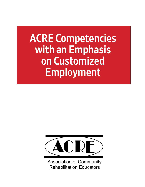# ACRE Competencies with an Emphasis on Customized Employment



**Association of Community Rehabilitation Educators**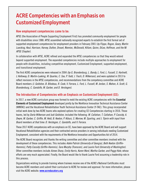# ACRE Competencies with an Emphasis on Customized Employment

#### **How employment competencies came to be:**

APSE (the Association of People Supporting Employment First) has promoted community employment for people with disabilities since 1988. APSE assembled nationally recognized experts to establish the first formal set of supported employment competencies for employment providers in February 2001 (*by Flippo, Rogan, Geary, Martin Luecking, Keul, Harrison, Harvey, Dutton, Drouet, Niemiec, McDonald, Killam, Quinn, DiLeo, Hoffman, and the NJ APSE Chapter).*

In collaboration with APSE, ACRE refined and expanded the APSE competencies so that they would extend beyond supported employment. The expanded competencies include multiple approaches to employment for people with disabilities, including competitive employment, Customized Employment, supported employment, and transitional employment.

The first ACRE competencies were released in 2004 *(by G. Brandenburg, L. Bandy, L. Ford, L. Fussell, S. Hartnett, L Holloway, D. Martin-Lueking, W. Quarles, C. Sax, P. Todd, J. Trach, D. Wilkerson)*, and were updated in 2013 to reflect revisions in the APSE competencies, and recommendations from the competency committee and ACRE Board members *(J. Goldston, B. Bilodeau, R. Cook, V. Ferrara, L. Ford, L. Fussell, M. Jordan, S. Mahon, A. Scott, G. Brandenburg, C. Gandolfo, M. Garber, and D. Verstegen).*

#### **The Introduction of Competencies with an Emphasis on Customized Employment (CE):**

In 2017, a new ACRE curriculum group was formed to meld the existing ACRE competencies with the **Essential Elements of Customized Employment** developed jointly by the Workforce Innovation Technical Assistance Center (WINTAC) and the Vocational Rehabilitation Youth Technical Assistance Center (Y-TAC). This group incorporated initial work done by two ACRE teams who explored options for creating CE Competencies starting in 2016. Those teams, led by *Darla Wilkerson and Judi Goldston*, included the following: *M. Callahan, T. Callahan, P. Cassidy, A. Dwyre, M. Garber, C. Griffin, M. Held, B. Keeton, P. Kiburz, S. Morrow, M. Sparling, and J. Tijerin with input from Board members at that time: D. Verstegen, C. Gandolfo, and V. Ferrara.*

These 2017 ACRE competencies with an emphasis on CE, have been approved by the ACRE Board and will support Vocational Rehabilitation agencies and their contracted service providers in serving individuals needing Customized Employment, consistent with the requirements of the Workforce Innovation and Opportunities Act of 2014.

The ACRE Board recognizes and thanks the writing committee and other committee members involved with the development of these competencies. This includes *Adele Patrick (University of Georgia), Beth Keeton (Griffin-Hammis), Patty Cassidy (Griffin-Hammis), Sara Murphy (Transcen), and Laurie Ford (University of Washington).* Other committee members include *Aimee Sharp, Emily Harris, Karen Ward, Martha Garber, and Peggy Hale*, whose efforts are very much appreciated. Finally, the Board would like to thank Laurie Ford assuming a leadership role in this process.

Organizations wishing to provide training where trainees receive one of the ACRE's National Certificates must become ACRE members and submit their curriculum to ACRE for review and approval. For more information, please visit the ACRE website: **[www.acreducators.org](http://www.acreducators.org)**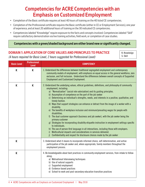# Competencies for ACRE Competencies with an Emphasis on Customized Employment

- Completion of the Basic certificate requires at least 40 hours of training on the 40 listed CE competencies.
- Completion of the Professional certificate requires the Basic certificate (either in CE or Employment Services), one year of experience, and at least 20 additional hours of training on the 30 indicated CE competencies.
- Competencies labeled "Knowledge" require exposure to the facts and concepts involved. Competencies labeled "Skill" require satisfactory demonstration via live training activities, field work, or completion of case studies.

#### Competencies with a green/shaded background are either brand new or significantly changed.

K: Knowledge S: Skill

### DOMAIN 1: APPLICATION OF CORE VALUES AND PRINCIPLES TO PRACTICE

*(4 hours required for Basic Level, 2 hours suggested for Professional Level)*

**Basic Level Professional Level COMPETENCY**  $K$  K  $|$  1. Understand the differences between traditional segregated employment and contemporary community models of employment, with emphasis on equal access in the general workforce, zero exclusion, and full inclusion. Understand the differences between overall concepts of Supported Employment and Customized Employment.  $K$  K  $\vert$  2. Understand the underlying values, ethical guidelines, definitions, and philosophy of community employment, including: a) "Normalization" (social role valorization) and its guiding principles. b) Assumption of competence on the part of the job seeker c) Determining an individual's strengths, needs, and interests in a positive, qualitative, and timely fashion. d) Ways that support strategies can enhance or detract from the image of a worker with a disability. e) The benefits of workplace inclusion and minimum/prevailing wages for people with disabilities. f) The dual customer approach (business and job seeker), with the job seeker being the primary customer g) Strategies for incorporating disability etiquette instruction in employment settings specific to individuals. h) The use of person-first language in all interactions, including those with employers. i) Multicultural impacts and considerations in services delivered. j) Confidentiality and respect for disclosure choices made by the job seeker  $\mathsf{K}$  | 3. Understand what it means to incorporate informed choice, self-determination, and active participation of the job seeker and, where appropriate, family members throughout the employment process.  $\mathsf K$   $\vert$  4. Be knowledgeable about best practices in community employment services, from intake to followalong: a) Motivational Interviewing techniques b) Use of natural supports c) Supported employment d) Evidence-based practices e) School-to-work and post-secondary education transition practices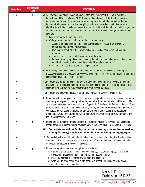| <b>Basic Level</b> | <b>Professional</b><br><b>Level</b> | <b>COMPETENCY</b>                                                                                                                                                                                                                                                                                                                                                                                                                                                                                                                                                                                                                                                                                                                                                                                                                                                                                                                                                                                                                                                                                                                                                                                                                                                                                                                                                        |  |  |
|--------------------|-------------------------------------|--------------------------------------------------------------------------------------------------------------------------------------------------------------------------------------------------------------------------------------------------------------------------------------------------------------------------------------------------------------------------------------------------------------------------------------------------------------------------------------------------------------------------------------------------------------------------------------------------------------------------------------------------------------------------------------------------------------------------------------------------------------------------------------------------------------------------------------------------------------------------------------------------------------------------------------------------------------------------------------------------------------------------------------------------------------------------------------------------------------------------------------------------------------------------------------------------------------------------------------------------------------------------------------------------------------------------------------------------------------------------|--|--|
| K                  | K                                   | 5a. Be knowledgeable about the definition of Customized Employment (CE) in the Workforce<br>Innovation and Opportunity Act (WIOA): Customized employment (CE) refers to competitive<br>integrated employment, for an individual with a significant disability, that is based on an<br>individualized determination of the strengths, needs, and interests of the individual with a<br>significant disability, is designed to meet the specific abilities of the individual with a significant<br>disability and the business needs of the employer, and is carried out through flexible strategies,<br>such as:<br>• Job exploration by the individual and<br>Working with an employer to facilitate placement, including<br>» Customizing a job description based on current employer needs or on previously<br>unidentified and unmet employer needs;<br>Developing a set of job duties, a work schedule, specifics of supervision (including<br>$\gg$<br>performance<br>» evaluation and review), and determining a job location;<br>Representation by a professional chosen by the individual, or self-representation of the<br>$\gg$<br>individual, in working with an employer to facilitate placement; and<br>» Providing services and supports at the job location.<br>5b. Be knowledgeable about the Essential Elements in Customized Employment, including the |  |  |
|                    |                                     | Discovery process and production of Discovery documents, the Customized Employment plan, and<br>employment development representation.                                                                                                                                                                                                                                                                                                                                                                                                                                                                                                                                                                                                                                                                                                                                                                                                                                                                                                                                                                                                                                                                                                                                                                                                                                   |  |  |
| К                  |                                     | 6. Understand the rights and responsibilities of individuals in community employment, including<br>the right of all individuals, including those with significant disabilities, to be employed in their<br>community without having to demonstrate pre-employment readiness.                                                                                                                                                                                                                                                                                                                                                                                                                                                                                                                                                                                                                                                                                                                                                                                                                                                                                                                                                                                                                                                                                             |  |  |
| K                  |                                     | 7. Understand the history and status of community employment services in your state.                                                                                                                                                                                                                                                                                                                                                                                                                                                                                                                                                                                                                                                                                                                                                                                                                                                                                                                                                                                                                                                                                                                                                                                                                                                                                     |  |  |
| K                  |                                     | 8. Be familiar with state-specific and federal legislation, regulations, and legal decisions related to<br>community employment, including but not limited to the Americans with Disabilities Act (ADA)<br>and amendments, Workforce Innovation and Opportunity Act (WIOA), the Rehabilitation Act, Ticket<br>to Work And Work incentives improvement Act (TWWIIA), individuals with Disabilities Education<br>Act (iDEA), the Fair Labor Standards Act and other Department of Labor (DOL) regulations,<br>Olmstead as well as the Equal Employment opportunities Commission (EEOC) and its role, and<br>the Employment First initiatives.                                                                                                                                                                                                                                                                                                                                                                                                                                                                                                                                                                                                                                                                                                                              |  |  |
| K                  | $\mathsf S$                         | 9. Understand state/federal funding streams that support employment services (e.g., vocational<br>rehabilitation (VR), mental health, developmental disabilities, Medicaid waivers, Ticket to Work).                                                                                                                                                                                                                                                                                                                                                                                                                                                                                                                                                                                                                                                                                                                                                                                                                                                                                                                                                                                                                                                                                                                                                                     |  |  |
|                    |                                     | SKILL: Demonstrate how available funding streams can be used to provide employment services<br>including Discovery, job exploration, job modification, job training, and ongoing support.                                                                                                                                                                                                                                                                                                                                                                                                                                                                                                                                                                                                                                                                                                                                                                                                                                                                                                                                                                                                                                                                                                                                                                                |  |  |
| K                  |                                     | 10. Be knowledgeable about local and national consumer resources including the discrimination<br>complaint process in your state as it relates to the ADA and amendments, Independent Living<br>Centers, and Protection & Advocacy networks.                                                                                                                                                                                                                                                                                                                                                                                                                                                                                                                                                                                                                                                                                                                                                                                                                                                                                                                                                                                                                                                                                                                             |  |  |
| K                  | S                                   | 11. Demonstrate professionalism for employment specialists.<br>a) Interact with job seekers, family members, employers, potential employers, and other<br>providers in a respectful, non-judgmental, and effective manner.<br>b) Dress in a manner that fits the environment and occasion.<br>c) Write reports, case notes, emails, etc. that are purposeful and concise while also neat,<br>objective and easily understood.                                                                                                                                                                                                                                                                                                                                                                                                                                                                                                                                                                                                                                                                                                                                                                                                                                                                                                                                            |  |  |

Basic: 11 K Professional: 3 K, 2 S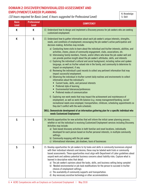# DOMAIN 2: DISCOVERY/INDIVIDUALIZED ASSESSMENT AND EMPLOYMENT/CAREER PLANNING

*(10 hours required for Basic Level, 6 hours suggested for Professional Level)*

K: Knowledge S: Skill

| <b>Basic</b><br><b>Level</b> | <b>Professional</b><br><b>Level</b> | <b>COMPETENCY</b>                                                                                                                                                                                                                                                                                                                                                                                                                                                                                                                                                                                                                                                                                                                                                                                                                                                                                                                                                                                                                                                                                                                                                                                                                                                                                                                                                                                                                                                                                                                                                                                                                                                                                                                  |  |  |
|------------------------------|-------------------------------------|------------------------------------------------------------------------------------------------------------------------------------------------------------------------------------------------------------------------------------------------------------------------------------------------------------------------------------------------------------------------------------------------------------------------------------------------------------------------------------------------------------------------------------------------------------------------------------------------------------------------------------------------------------------------------------------------------------------------------------------------------------------------------------------------------------------------------------------------------------------------------------------------------------------------------------------------------------------------------------------------------------------------------------------------------------------------------------------------------------------------------------------------------------------------------------------------------------------------------------------------------------------------------------------------------------------------------------------------------------------------------------------------------------------------------------------------------------------------------------------------------------------------------------------------------------------------------------------------------------------------------------------------------------------------------------------------------------------------------------|--|--|
| К                            | K                                   | 12. Understand how to design and implement a Discovery process for job seekers who are seeking<br>customized employment.                                                                                                                                                                                                                                                                                                                                                                                                                                                                                                                                                                                                                                                                                                                                                                                                                                                                                                                                                                                                                                                                                                                                                                                                                                                                                                                                                                                                                                                                                                                                                                                                           |  |  |
| K                            | $\mathsf S$                         | 13. Understand how to gather information about each job seeker's unique interests, strengths,<br>needs, and conditions of employment; encouraging the job-seeker's active participation and<br>decision-making. Activities may include:<br>a) Conducting home visits to learn about the individual and his/her interests, abilities, and<br>activities, chores, places of community engagement, clubs, associations, etc.<br>b) Interviewing family members, friends, and/or others who know the job-seeker well and<br>can provide positive insight about the job seeker's attributes, skills, and interests<br>c) Exploring the individual's cultural and social background, including native and spoken<br>language, as well as his/her valued role in the family, and community to determine its<br>impact on employment, if any.<br>d) Reviewing the individual's past records to collect any pertinent information that may<br>impact successful employment.<br>e) Observing the individual in his/her current daily routines and environments to collect<br>information about the individual's:<br>Current tasks, skills, and personal interests<br>Preferred style of learning<br>Environmental tolerances/preferences<br>Preferred modes of communication<br>$\bullet$<br>Exploring non-work needs that may impact the achievement and maintenance of<br>f<br>employment, as well as work-life balance (e.g. money management/banking, social/<br>recreational needs once employed, transportation, childcare, scheduling appointments so<br>they don't conflict with the work schedule).<br>SKILL: Demonstrate development of an information gathering plan for a specific individual who<br>needs Customized Employment |  |  |
| $\mathsf S$                  | $\mathsf S$                         | 14. Identify opportunities for new activities that will inform the initial career planning process,<br>whether or not the individual is receiving Customized Employment services including Discovery.<br>Activities may include:<br>a) Task-based discovery activities in both familiar and novel locations, individually<br>developed for each person based on his/her personal interests, in multiple community<br>settings.<br>b) Community mapping with the job seeker<br>c) Informational interviews, job shadows, tours of businesses                                                                                                                                                                                                                                                                                                                                                                                                                                                                                                                                                                                                                                                                                                                                                                                                                                                                                                                                                                                                                                                                                                                                                                                        |  |  |
| S                            | S                                   | 15. Develop opportunities for job seekers to try tasks and skills in community businesses aligned<br>with their individual interests and desires; these may be labeled work trials or community<br>based assessments. These opportunities must align with Department of Labor guidelines about<br>unpaid work and address potential business concerns about liability risks. Capture what is<br>learned in descriptive notes that detail:<br>a) The job-seeker's opinions about the tasks, skills, and business setting being sampled<br>b) Needed environmental or job-task modifications for the person to succeed in his/her<br>choices of employment settings<br>c) The availability of community supports and transportation.<br>d) Any necessary assistive technology or other accommodations                                                                                                                                                                                                                                                                                                                                                                                                                                                                                                                                                                                                                                                                                                                                                                                                                                                                                                                                |  |  |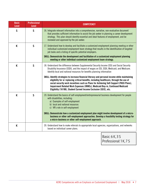| <b>Basic</b><br><b>Level</b> | <b>Professional</b><br><b>Level</b> | <b>COMPETENCY</b>                                                                                                                                                                                                                                                                                                                                                                                                                                                                                                                                                                                                                                                                                                    |  |
|------------------------------|-------------------------------------|----------------------------------------------------------------------------------------------------------------------------------------------------------------------------------------------------------------------------------------------------------------------------------------------------------------------------------------------------------------------------------------------------------------------------------------------------------------------------------------------------------------------------------------------------------------------------------------------------------------------------------------------------------------------------------------------------------------------|--|
| $\mathsf{S}$                 | $\mathsf{S}$                        | 16. Integrate relevant information into a comprehensive, narrative, non-evaluative document<br>that provides sufficient information to assist the job seeker in planning a career development<br>strategy. This plan should identify essential and ideal features of employment, and be<br>reviewed and approved by the job seeker.                                                                                                                                                                                                                                                                                                                                                                                  |  |
| K                            | $\mathsf{S}$                        | 17. Understand how to develop and facilitate a customized employment planning meeting or other<br>individual customized employment team strategy that results in the identification of targeted<br>job tasks and a listing of specific potential employers.<br>SKILL: Demonstrate the development and facilitation of a customized employment planning<br>meeting or other individual customized employment team strategy.                                                                                                                                                                                                                                                                                           |  |
| K                            | $\mathsf{S}$                        | 18. Understand the difference between Supplemental Security Income (SSI) and Social Security<br>Disability Insurance (SSDI), and the impact of wages on SSI, SSDI, Medicaid, and Medicare.<br>Identify local and national resources for benefits planning information<br>SKILL: Identify strategies to increase financial literacy and personal income while maintaining<br>eligibility for or replacing critical benefits, including healthcare, through the use of<br>social security work incentives such as Plans for Achieving Self-Support (PASS Plans),<br>Impairment Related Work Expenses (IRWEs), Medicaid Buy-in, Continued Medicaid<br>Eligibility (1619B), Student Earned Income Exclusion (SEIE), etc. |  |
| K                            | $\mathsf{S}$                        | 19. Understand the basics of self-employment/entrepreneurial business development for people<br>with disabilities, including:<br>a) Examples of self-employment<br>b) local and national resources<br>c) VR's role in self-employment<br>SKILL: Demonstrate how a customized employment plan might involve development of a micro-<br>business or other self-employment approaches. Develop a feasibility testing strategy for<br>a micro-business or other self-employment approach.                                                                                                                                                                                                                                |  |
| K                            |                                     | 20. Understand how to make referrals to appropriate local agencies, organizations, and networks<br>based on individual career plans.                                                                                                                                                                                                                                                                                                                                                                                                                                                                                                                                                                                 |  |

Basic: 6 K, 3 S Professional: 1 K, 7 S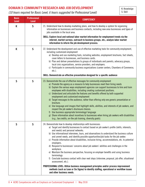## DOMAIN 3: COMMUNITY RESEARCH AND JOB DEVELOPMENT

*(10 hours required for Basic Level, 6 hours suggested for Professional Level)*

K: Knowledge S: Skill

| <b>Basic</b><br><b>Level</b> | <b>Professional</b><br><b>Level</b> | <b>COMPETENCY</b>                                                                                                                                                                                                                                                                                                                                                                                                                                                                                                                                                                                                                                                                                                                                                                                                                                                                                                                                                                                                                       |  |
|------------------------------|-------------------------------------|-----------------------------------------------------------------------------------------------------------------------------------------------------------------------------------------------------------------------------------------------------------------------------------------------------------------------------------------------------------------------------------------------------------------------------------------------------------------------------------------------------------------------------------------------------------------------------------------------------------------------------------------------------------------------------------------------------------------------------------------------------------------------------------------------------------------------------------------------------------------------------------------------------------------------------------------------------------------------------------------------------------------------------------------|--|
| $\mathsf S$<br>K             |                                     | 21. Understand how to develop marketing plans, and how to develop a system for organizing<br>information on businesses and business contacts, including new area businesses and types of<br>jobs available in the local area.                                                                                                                                                                                                                                                                                                                                                                                                                                                                                                                                                                                                                                                                                                                                                                                                           |  |
|                              |                                     | SKILL: Explore local and national labor market information for employment trends via the<br>internet, market surveys, outreach to business groups, etc.; analyze labor market<br>information to inform the job development process.                                                                                                                                                                                                                                                                                                                                                                                                                                                                                                                                                                                                                                                                                                                                                                                                     |  |
| K                            | $\mathsf{S}$                        | 22. Understand the development and use of effective marketing tools for community employment,<br>including customized employment<br>a) Develop and use marketing tools, including websites, employment brochures, fact sheets,<br>cover letters to businesses, and business cards.<br>b) Plan and deliver presentations to groups of individuals and parents, advocacy groups,<br>local civic organizations, service providers, and employers.<br>c) Participate in community business organizations (career centers, Chambers of Commerce,<br>$etc.$ ).                                                                                                                                                                                                                                                                                                                                                                                                                                                                                |  |
|                              |                                     | SKILL: Demonstrate an effective presentation designed for a specific audience                                                                                                                                                                                                                                                                                                                                                                                                                                                                                                                                                                                                                                                                                                                                                                                                                                                                                                                                                           |  |
| S                            | $\mathsf{S}$                        | 23. Demonstrate the use of effective messages for community employment<br>a) Promote the agency as a resource to help businesses meet their hiring needs<br>b) Explain the various ways employment agencies can support businesses to hire and train<br>employees with disabilities, including creating customized positions.<br>c) Understand and articulate the features and benefits offered by both supported<br>employment and customized employment<br>d) Target messages to the audience, rather than offering only one generic presentation or<br>brochure.<br>e) Use language and images that highlight skills, abilities, and interests of job seekers, and<br>respect the job seeker's disclosure choices.<br>f) Use business appropriate terminology/language<br>g) Share information about incentives to businesses when hiring job seekers with disabilities<br>(e.g., tax credits, on-the-job training, diversity goals).                                                                                                |  |
| S<br>S                       |                                     | 24. Demonstrate how to develop relationships with businesses:<br>a) Target and identify businesses to contact based on job seeker's profile (skills, interests,<br>and needs) and personal networks.<br>b) Use informational interviews, tours, and observations to understand the business culture<br>and unmet needs, and identify possible opportunities/job tasks for the job seeker.<br>c) Provide information about disabilities, inclusive hiring, accommodations, etc. to potential<br>employers.<br>d) Respond to businesses' concerns about job seekers' abilities and challenges in the<br>workplace.<br>e) Maintain the business perspective, focusing on employer benefits and using business<br>terminology<br>f) Conclude business contact with clear next steps (interview, proposal, job offer, situational<br>assessment, etc.).<br>PROFESSIONAL LEVEL: Utilize business management principles and/or process improvement<br>methods (such as Lean or Six Sigma) to identify staffing, operational or workflow issues |  |
|                              |                                     | and other business needs.                                                                                                                                                                                                                                                                                                                                                                                                                                                                                                                                                                                                                                                                                                                                                                                                                                                                                                                                                                                                               |  |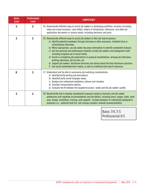| <b>Basic</b><br><b>Level</b> | <b>Professional</b><br><b>Level</b> | COMPETENCY                                                                                                                                                                                                                                                                                                                                                                                                                                                                                                                                                                                                                                                                                                                                                                 |  |
|------------------------------|-------------------------------------|----------------------------------------------------------------------------------------------------------------------------------------------------------------------------------------------------------------------------------------------------------------------------------------------------------------------------------------------------------------------------------------------------------------------------------------------------------------------------------------------------------------------------------------------------------------------------------------------------------------------------------------------------------------------------------------------------------------------------------------------------------------------------|--|
| $\mathsf{S}$                 | $\mathsf{S}$                        | 25. Demonstrate different ways to assist job seekers in developing portfolios, resumes (including<br>video and visual resumes), cover letters, letters of introduction, references, and other job<br>application documents in various media, including electronic and print.                                                                                                                                                                                                                                                                                                                                                                                                                                                                                               |  |
| $\mathsf{S}$                 | $\mathsf{S}$                        | 26. Demonstrate different ways to assist job seekers in their job search process:<br>a) Identify potential employers through discovery or other processes, schedule tours or<br>informational interviews<br>b) Where appropriate, use job seeker discovery information to identify marketable features<br>c) Use the personal and professional networks of both job seekers and employment staff,<br>including targeted use of social media.<br>d) Assist in completing job applications or proposal presentations; arrange job interviews,<br>working interviews, job try-outs, etc<br>e) Support job seekers' disclosure decisions and advise about the best disclosure practices.<br>f) Use social media/electronic media, as well as traditional job search resources. |  |
| K                            | $\mathsf S$                         | 27. Understand and be able to summarize job matching considerations<br>a) Identify/clarify existing job descriptions.<br>b) Identify/clarify unmet employer needs.<br>c) Analyze and understand workplace cultures and climates.<br>d) Consider transportation options.<br>e) Evaluate the fit between the targeted business' needs and the job seeker's profile                                                                                                                                                                                                                                                                                                                                                                                                           |  |
| $\mathsf{S}$                 | $\mathsf{S}$                        | 28. Demonstrate how to develop employment proposals based on business and job seeker<br>preferences and negotiate accommodations and job details, including hours, wages, tasks, work<br>area, breaks, orientation, training, and supports. Include examples of customized employment<br>proposals (i.e. potential task list, cost savings analysis, tailored resume/portfolio).                                                                                                                                                                                                                                                                                                                                                                                           |  |

Basic: 3 K, 5 S Professional: 8 S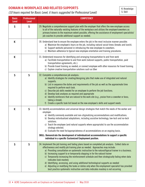## DOMAIN 4: WORKPLACE AND RELATED SUPPORTS

*(10 hours required for Basic Level, 6 hours suggested for Professional Level)*

K: Knowledge S: Skill

| <b>Basic</b><br><b>Level</b> | <b>Professional</b><br><b>Level</b> | <b>COMPETENCY</b>                                                                                                                                                                                                                                                                                                                                                                                                                                                                                                                                                                                                                                                                                                                                                         |  |  |
|------------------------------|-------------------------------------|---------------------------------------------------------------------------------------------------------------------------------------------------------------------------------------------------------------------------------------------------------------------------------------------------------------------------------------------------------------------------------------------------------------------------------------------------------------------------------------------------------------------------------------------------------------------------------------------------------------------------------------------------------------------------------------------------------------------------------------------------------------------------|--|--|
| $\mathsf S$                  | $\mathsf S$                         | 29. Negotiate a comprehensive support plan with the employer that offers the new employee access<br>to all of the naturally-existing features of the workplace and utilizes the employer/coworkers as<br>primary trainers to the maximum extent possible, offering the assistance of employment specialists/<br>job coaches to provide additional support as needed.                                                                                                                                                                                                                                                                                                                                                                                                      |  |  |
| К                            |                                     | 30. Understand how to ensure the employee enters the job in the most inclusive manner possible:<br>a) Maximize the employee's hours on the job, including natural social times (breaks and lunch).<br>b) Support worksite personnel in introducing the new employee to coworkers.<br>c) Maintain adherence to typical new employee orientation and training procedures.                                                                                                                                                                                                                                                                                                                                                                                                   |  |  |
| К                            |                                     | 31. Understand resources for identifying and arranging transportation to and from work<br>a) Facilitate transportation to and from work (natural supports, public transportation, paid<br>transportation agreements, etc.).<br>b) Provide travel training as needed; or connect employee with other resources for travel training.<br>c) Explore creative transportation solutions such as Uber                                                                                                                                                                                                                                                                                                                                                                           |  |  |
| S                            | $\mathsf S$                         | 32. Complete a comprehensive job analysis:<br>a) Identify strategies for creating/designing jobs that make use of integrated and natural<br>supports.<br>b) List in sequence the duties and requirements of the job as well as the approximate time<br>required to perform each task.<br>c) Describe job skills needed for an employee to perform the job functions.<br>d) Develop task analyses as required and appropriate<br>e) Identify reinforcers that are natural to the work site (e.g., praise from a coworker or boss;<br>taking a break).<br>f) Create a specific task list based on the new employee's skills and support needs                                                                                                                               |  |  |
| K                            | $\mathsf S$                         | 33. Identify accommodations and universal design strategies that match the needs of the worker and<br>employer:<br>a) Identify commonly available and non-stigmatizing accommodations and modifications.<br>b) Develop individualized adaptations, including assistive technology, low-tech and no-tech<br>solutions.<br>c) Teach the employee (and natural supports where appropriate) to use the accommodation<br>strategy selected.<br>d) Evaluate the need for/appropriateness of accommodations on an ongoing basis.<br>SKILL: Demonstrate the development of individualized accommodations to support a specific<br>individual in a specific Customized Employment position.                                                                                        |  |  |
| $\mathsf S$                  | $\mathsf S$                         | 34. Implement the job training and fading plans based on completed job analysis. Collect data on<br>effectiveness and modify job training plan as needed. Approaches may include:<br>a) Providing consultation on systematic instruction to the natural/typical trainer in a business.<br>b) Increasing support to or temporarily stepping in for the natural trainer<br>c) Temporarily increasing the reinforcement schedule and then strategically fading when data<br>indicates task mastery<br>d) Identifying, accessing, and using additional technological supports as needed<br>e) Adjusting or modifying the tasks or duties only when the employment specialist has provided<br>best practice systematic instruction and data indicates mastery is not occurring |  |  |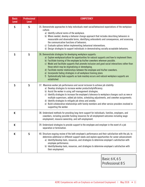| <b>Basic</b><br><b>Level</b> | <b>Professional</b><br><b>Level</b> | <b>COMPETENCY</b>                                                                                                                                                                                                                                                                                                                                                                                                                                                                                                                                                                                                                                                           |  |
|------------------------------|-------------------------------------|-----------------------------------------------------------------------------------------------------------------------------------------------------------------------------------------------------------------------------------------------------------------------------------------------------------------------------------------------------------------------------------------------------------------------------------------------------------------------------------------------------------------------------------------------------------------------------------------------------------------------------------------------------------------------------|--|
| $\mathsf S$                  | $\mathsf{S}$                        | 35. Demonstrate approaches to help individuals meet social/behavioral expectations of the workplace<br>culture:<br>a) Identify cultural norms of the workplace.<br>b) Where needed, develop a behavior change approach that includes describing behaviors in<br>measurable and observable terms, identifying antecedents and consequences, and assessing<br>the communicative functions of behaviors.<br>c) Evaluate options before implementing behavioral interventions.<br>d) Design strategies to support individuals in demonstrating socially acceptable behaviors.                                                                                                   |  |
| S                            | S                                   | 36. Demonstrate strategies for developing workplace supports:<br>a) Explore workplace/culture for opportunities for natural supports and how to implement them.<br>b) Facilitate training of the employee by his/her coworkers wherever possible.<br>c) Model and facilitate supports that promote inclusion and good social interactions rather than<br>those which may be stigmatizing or stereotyping.<br>d) Facilitate mentor relationships between the employee and his/her coworkers.<br>e) Incorporate fading strategies in all workplace training plans<br>f) Systematically fade supports as task mastery occurs and natural workplace supports are<br>established |  |
| $\mathsf{S}$                 | $\mathsf S$                         | 37. Maximize worker job performance and social inclusion to achieve job stability:<br>a) Develop strategies to increase worker productivity/efficiency.<br>b) Assist the worker in using self-management strategies.<br>c) Identify strategies to increase the employee's tolerance to workplace changes such as new or<br>multiple supervisors, added job duties, scheduling adjustments, and coworker assignments.<br>d) Identify strategies to mitigate job stress and anxiety.<br>e) Build collaborative relationships with family members and other service providers involved in<br>supporting the worker.                                                            |  |
| К                            |                                     | 38. Understand methods for providing long-term support for individuals, families, employers, and<br>coworkers, including possible funding resources for all employment outcomes including wage<br>employment, resource ownership, and self-employment.                                                                                                                                                                                                                                                                                                                                                                                                                      |  |
| K                            |                                     | 39. Understand strategies to provide support to the employee and employer in the event of a job<br>separation or termination.                                                                                                                                                                                                                                                                                                                                                                                                                                                                                                                                               |  |
| K                            | S                                   | 40. Structure ongoing review of the both employee's performance and their satisfaction with the job, to<br>determine additional or different support needs and explore opportunities for career advancement.<br>a) Identify/develop tools, resources, and strategies to determine employer's satisfaction with<br>employee performance.<br>b) Identify/develop tools, resources, and strategies to determine employee's satisfaction with<br>their employment.                                                                                                                                                                                                              |  |

Basic: 6 K, 6 S Professional: 8 S